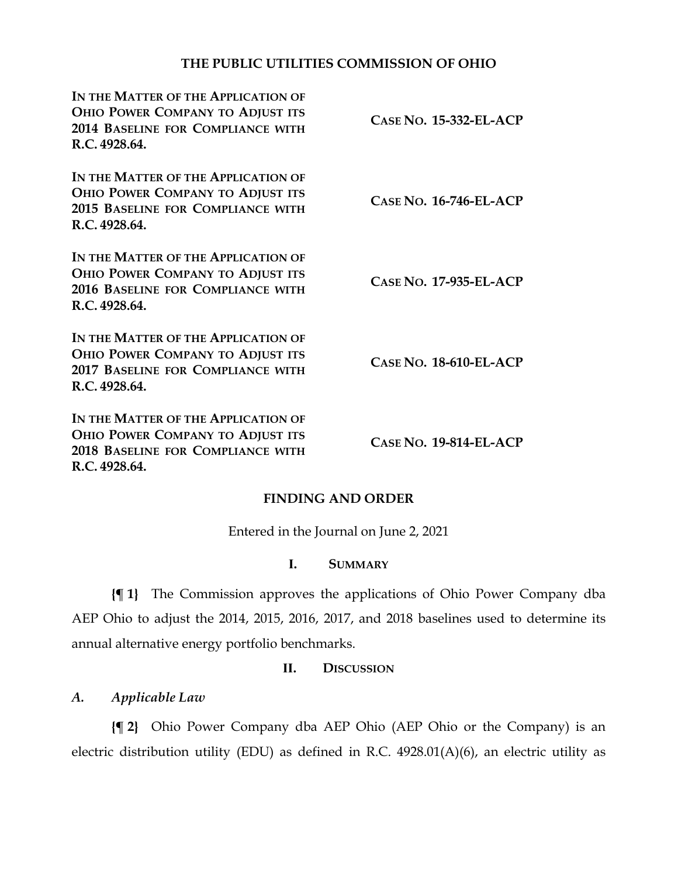# **THE PUBLIC UTILITIES COMMISSION OF OHIO**

| IN THE MATTER OF THE APPLICATION OF<br><b>OHIO POWER COMPANY TO ADJUST ITS</b><br><b>2014 BASELINE FOR COMPLIANCE WITH</b><br>R.C. 4928.64. | $CASE No. 15-332-EL-ACP$      |
|---------------------------------------------------------------------------------------------------------------------------------------------|-------------------------------|
| IN THE MATTER OF THE APPLICATION OF<br>OHIO POWER COMPANY TO ADJUST ITS<br>2015 BASELINE FOR COMPLIANCE WITH<br>R.C. 4928.64.               | $CASE No. 16-746-EL-ACP$      |
| IN THE MATTER OF THE APPLICATION OF<br><b>OHIO POWER COMPANY TO ADJUST ITS</b><br>2016 BASELINE FOR COMPLIANCE WITH<br>R.C. 4928.64.        | CASE NO. 17-935-EL-ACP        |
| IN THE MATTER OF THE APPLICATION OF<br><b>OHIO POWER COMPANY TO ADJUST ITS</b><br>2017 BASELINE FOR COMPLIANCE WITH<br>R.C. 4928.64.        | <b>CASE NO. 18-610-EL-ACP</b> |
| IN THE MATTER OF THE APPLICATION OF<br><b>OHIO POWER COMPANY TO ADJUST ITS</b><br>2018 BASELINE FOR COMPLIANCE WITH<br>R.C. 4928.64.        | CASE NO. 19-814-EL-ACP        |

### **FINDING AND ORDER**

Entered in the Journal on June 2, 2021

### **I. SUMMARY**

**{¶ 1}** The Commission approves the applications of Ohio Power Company dba AEP Ohio to adjust the 2014, 2015, 2016, 2017, and 2018 baselines used to determine its annual alternative energy portfolio benchmarks.

### **II. DISCUSSION**

# *A. Applicable Law*

**{¶ 2}** Ohio Power Company dba AEP Ohio (AEP Ohio or the Company) is an electric distribution utility (EDU) as defined in R.C. 4928.01(A)(6), an electric utility as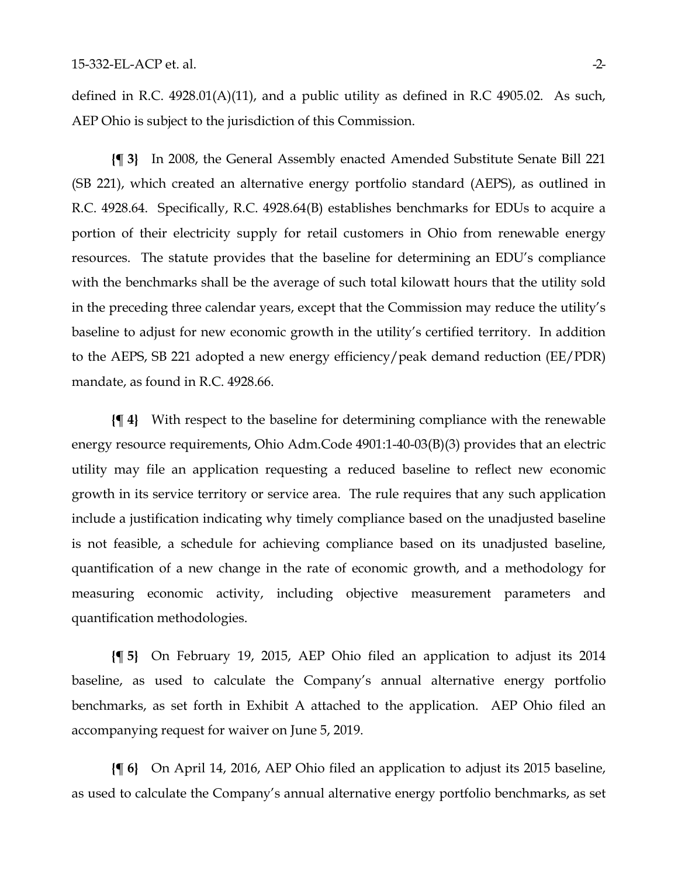defined in R.C. 4928.01(A)(11), and a public utility as defined in R.C 4905.02. As such, AEP Ohio is subject to the jurisdiction of this Commission.

**{¶ 3}** In 2008, the General Assembly enacted Amended Substitute Senate Bill 221 (SB 221), which created an alternative energy portfolio standard (AEPS), as outlined in R.C. 4928.64. Specifically, R.C. 4928.64(B) establishes benchmarks for EDUs to acquire a portion of their electricity supply for retail customers in Ohio from renewable energy resources. The statute provides that the baseline for determining an EDU's compliance with the benchmarks shall be the average of such total kilowatt hours that the utility sold in the preceding three calendar years, except that the Commission may reduce the utility's baseline to adjust for new economic growth in the utility's certified territory. In addition to the AEPS, SB 221 adopted a new energy efficiency/peak demand reduction (EE/PDR) mandate, as found in R.C. 4928.66.

**{¶ 4}** With respect to the baseline for determining compliance with the renewable energy resource requirements, Ohio Adm.Code 4901:1-40-03(B)(3) provides that an electric utility may file an application requesting a reduced baseline to reflect new economic growth in its service territory or service area. The rule requires that any such application include a justification indicating why timely compliance based on the unadjusted baseline is not feasible, a schedule for achieving compliance based on its unadjusted baseline, quantification of a new change in the rate of economic growth, and a methodology for measuring economic activity, including objective measurement parameters and quantification methodologies.

**{¶ 5}** On February 19, 2015, AEP Ohio filed an application to adjust its 2014 baseline, as used to calculate the Company's annual alternative energy portfolio benchmarks, as set forth in Exhibit A attached to the application. AEP Ohio filed an accompanying request for waiver on June 5, 2019.

**{¶ 6}** On April 14, 2016, AEP Ohio filed an application to adjust its 2015 baseline, as used to calculate the Company's annual alternative energy portfolio benchmarks, as set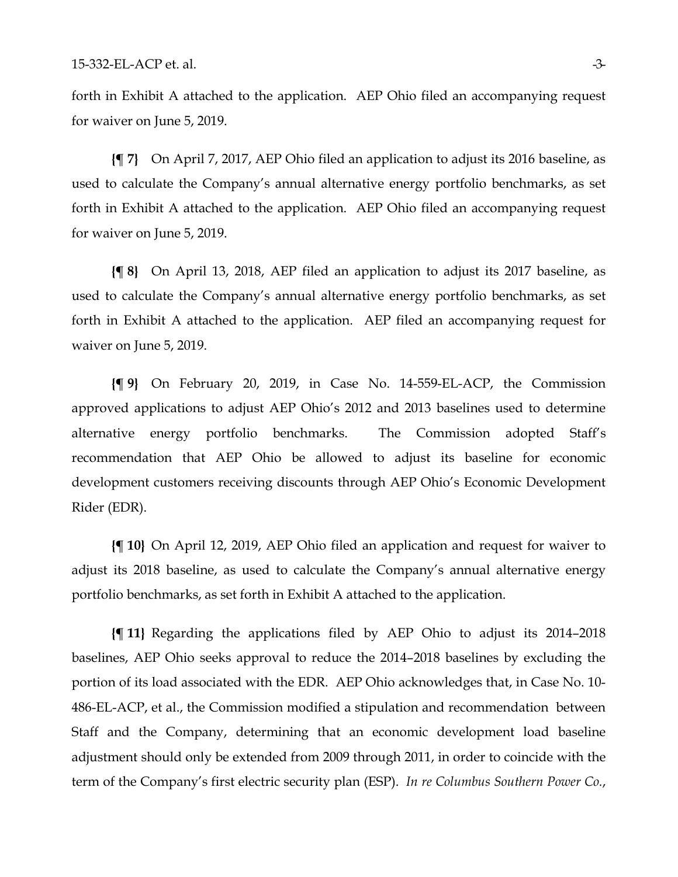forth in Exhibit A attached to the application. AEP Ohio filed an accompanying request for waiver on June 5, 2019.

**{¶ 7}** On April 7, 2017, AEP Ohio filed an application to adjust its 2016 baseline, as used to calculate the Company's annual alternative energy portfolio benchmarks, as set forth in Exhibit A attached to the application. AEP Ohio filed an accompanying request for waiver on June 5, 2019.

**{¶ 8}** On April 13, 2018, AEP filed an application to adjust its 2017 baseline, as used to calculate the Company's annual alternative energy portfolio benchmarks, as set forth in Exhibit A attached to the application. AEP filed an accompanying request for waiver on June 5, 2019.

**{¶ 9}** On February 20, 2019, in Case No. 14-559-EL-ACP, the Commission approved applications to adjust AEP Ohio's 2012 and 2013 baselines used to determine alternative energy portfolio benchmarks. The Commission adopted Staff's recommendation that AEP Ohio be allowed to adjust its baseline for economic development customers receiving discounts through AEP Ohio's Economic Development Rider (EDR).

**{¶ 10}** On April 12, 2019, AEP Ohio filed an application and request for waiver to adjust its 2018 baseline, as used to calculate the Company's annual alternative energy portfolio benchmarks, as set forth in Exhibit A attached to the application.

**{¶ 11}** Regarding the applications filed by AEP Ohio to adjust its 2014–2018 baselines, AEP Ohio seeks approval to reduce the 2014–2018 baselines by excluding the portion of its load associated with the EDR. AEP Ohio acknowledges that, in Case No. 10- 486-EL-ACP, et al., the Commission modified a stipulation and recommendation between Staff and the Company, determining that an economic development load baseline adjustment should only be extended from 2009 through 2011, in order to coincide with the term of the Company's first electric security plan (ESP). *In re Columbus Southern Power Co.*,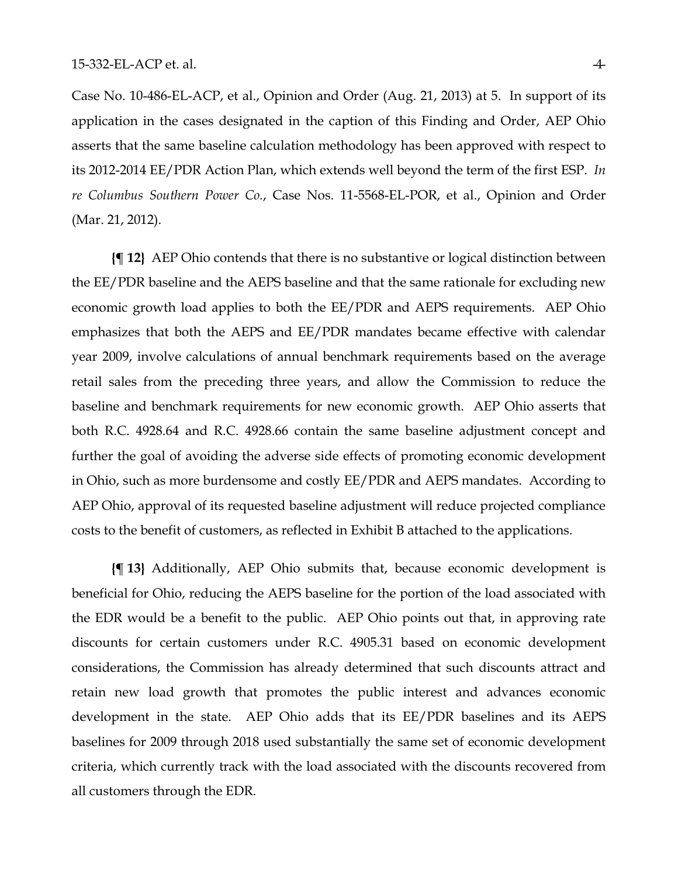Case No. 10-486-EL-ACP, et al., Opinion and Order (Aug. 21, 2013) at 5. In support of its application in the cases designated in the caption of this Finding and Order, AEP Ohio asserts that the same baseline calculation methodology has been approved with respect to its 2012-2014 EE/PDR Action Plan, which extends well beyond the term of the first ESP. *In re Columbus Southern Power Co.*, Case Nos. 11-5568-EL-POR, et al., Opinion and Order (Mar. 21, 2012).

**{¶ 12}** AEP Ohio contends that there is no substantive or logical distinction between the EE/PDR baseline and the AEPS baseline and that the same rationale for excluding new economic growth load applies to both the EE/PDR and AEPS requirements. AEP Ohio emphasizes that both the AEPS and EE/PDR mandates became effective with calendar year 2009, involve calculations of annual benchmark requirements based on the average retail sales from the preceding three years, and allow the Commission to reduce the baseline and benchmark requirements for new economic growth. AEP Ohio asserts that both R.C. 4928.64 and R.C. 4928.66 contain the same baseline adjustment concept and further the goal of avoiding the adverse side effects of promoting economic development in Ohio, such as more burdensome and costly EE/PDR and AEPS mandates. According to AEP Ohio, approval of its requested baseline adjustment will reduce projected compliance costs to the benefit of customers, as reflected in Exhibit B attached to the applications.

**{¶ 13}** Additionally, AEP Ohio submits that, because economic development is beneficial for Ohio, reducing the AEPS baseline for the portion of the load associated with the EDR would be a benefit to the public. AEP Ohio points out that, in approving rate discounts for certain customers under R.C. 4905.31 based on economic development considerations, the Commission has already determined that such discounts attract and retain new load growth that promotes the public interest and advances economic development in the state. AEP Ohio adds that its EE/PDR baselines and its AEPS baselines for 2009 through 2018 used substantially the same set of economic development criteria, which currently track with the load associated with the discounts recovered from all customers through the EDR.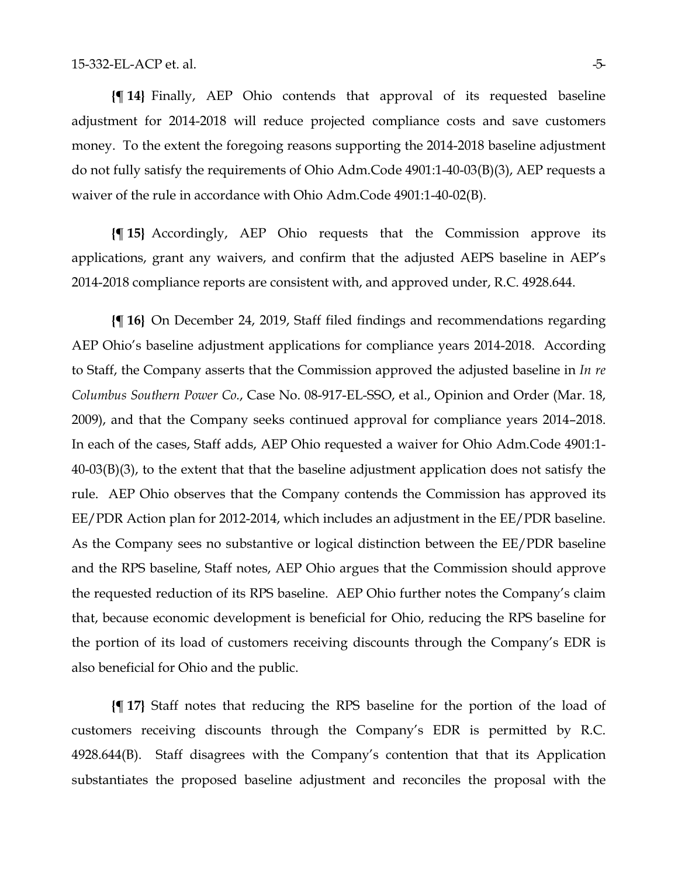**{¶ 14}** Finally, AEP Ohio contends that approval of its requested baseline adjustment for 2014-2018 will reduce projected compliance costs and save customers money. To the extent the foregoing reasons supporting the 2014-2018 baseline adjustment do not fully satisfy the requirements of Ohio Adm.Code 4901:1-40-03(B)(3), AEP requests a waiver of the rule in accordance with Ohio Adm.Code 4901:1-40-02(B).

**{¶ 15}** Accordingly, AEP Ohio requests that the Commission approve its applications, grant any waivers, and confirm that the adjusted AEPS baseline in AEP's 2014-2018 compliance reports are consistent with, and approved under, R.C. 4928.644.

**{¶ 16}** On December 24, 2019, Staff filed findings and recommendations regarding AEP Ohio's baseline adjustment applications for compliance years 2014-2018. According to Staff, the Company asserts that the Commission approved the adjusted baseline in *In re Columbus Southern Power Co.*, Case No. 08-917-EL-SSO, et al., Opinion and Order (Mar. 18, 2009), and that the Company seeks continued approval for compliance years 2014–2018. In each of the cases, Staff adds, AEP Ohio requested a waiver for Ohio Adm.Code 4901:1- 40-03(B)(3), to the extent that that the baseline adjustment application does not satisfy the rule. AEP Ohio observes that the Company contends the Commission has approved its EE/PDR Action plan for 2012-2014, which includes an adjustment in the EE/PDR baseline. As the Company sees no substantive or logical distinction between the EE/PDR baseline and the RPS baseline, Staff notes, AEP Ohio argues that the Commission should approve the requested reduction of its RPS baseline. AEP Ohio further notes the Company's claim that, because economic development is beneficial for Ohio, reducing the RPS baseline for the portion of its load of customers receiving discounts through the Company's EDR is also beneficial for Ohio and the public.

**{¶ 17}** Staff notes that reducing the RPS baseline for the portion of the load of customers receiving discounts through the Company's EDR is permitted by R.C. 4928.644(B). Staff disagrees with the Company's contention that that its Application substantiates the proposed baseline adjustment and reconciles the proposal with the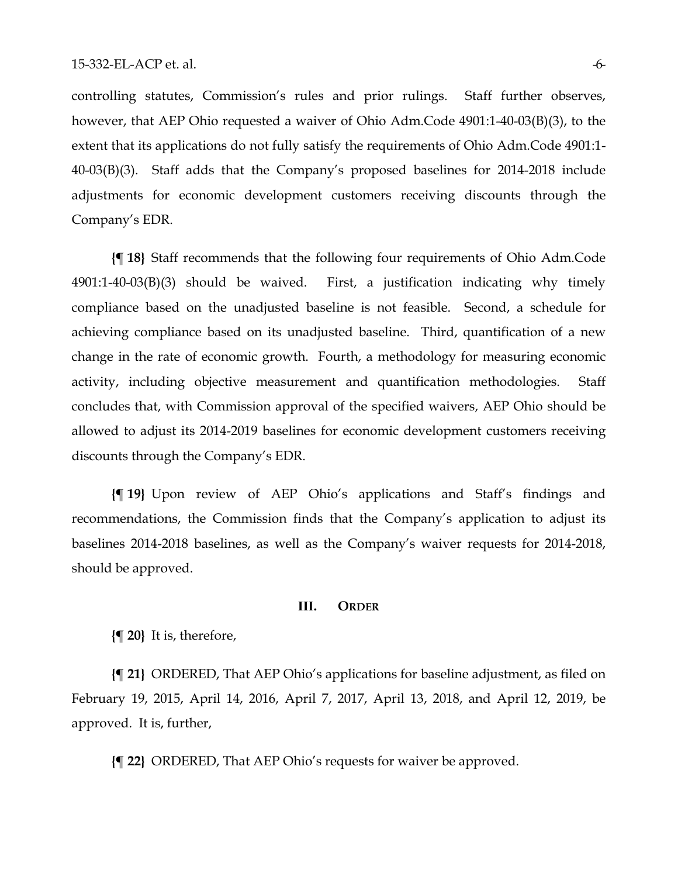controlling statutes, Commission's rules and prior rulings.Staff further observes, however, that AEP Ohio requested a waiver of Ohio Adm.Code 4901:1-40-03(B)(3), to the extent that its applications do not fully satisfy the requirements of Ohio Adm.Code 4901:1- 40-03(B)(3). Staff adds that the Company's proposed baselines for 2014-2018 include adjustments for economic development customers receiving discounts through the Company's EDR.

**{¶ 18}** Staff recommends that the following four requirements of Ohio Adm.Code 4901:1-40-03(B)(3) should be waived. First, a justification indicating why timely compliance based on the unadjusted baseline is not feasible. Second, a schedule for achieving compliance based on its unadjusted baseline. Third, quantification of a new change in the rate of economic growth. Fourth, a methodology for measuring economic activity, including objective measurement and quantification methodologies. Staff concludes that, with Commission approval of the specified waivers, AEP Ohio should be allowed to adjust its 2014-2019 baselines for economic development customers receiving discounts through the Company's EDR.

**{¶ 19}** Upon review of AEP Ohio's applications and Staff's findings and recommendations, the Commission finds that the Company's application to adjust its baselines 2014-2018 baselines, as well as the Company's waiver requests for 2014-2018, should be approved.

#### **III. ORDER**

**{¶ 20}** It is, therefore,

**{¶ 21}** ORDERED, That AEP Ohio's applications for baseline adjustment, as filed on February 19, 2015, April 14, 2016, April 7, 2017, April 13, 2018, and April 12, 2019, be approved. It is, further,

**{¶ 22}** ORDERED, That AEP Ohio's requests for waiver be approved.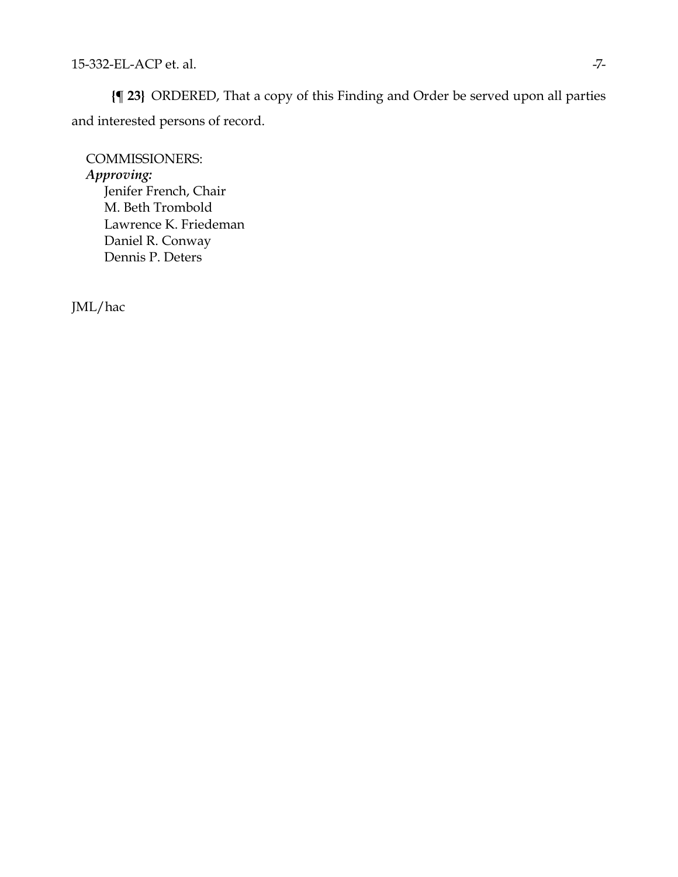**{¶ 23}** ORDERED, That a copy of this Finding and Order be served upon all parties and interested persons of record.

COMMISSIONERS: *Approving:*  Jenifer French, Chair M. Beth Trombold Lawrence K. Friedeman Daniel R. Conway Dennis P. Deters

JML/hac